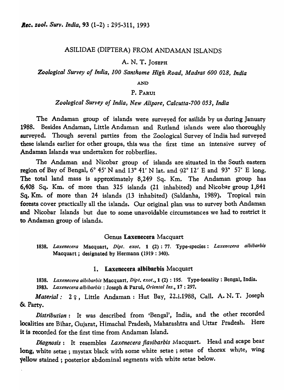# ASILIDAE (DIPTERA) FROM ANDAMAN ISLANDS

# A. N. T. JOSEPH

*Zoological Survey of India, 100 Santhome High Road, Madras 600 028, India* 

#### AND

# P. PARIII

*Zoological Survey of India, New Alipore, Calcutta-700 053, India* 

The Andaman group of islands were surveyed for asilids by us during January 1988. Besides Andaman, Little Andaman and Rutland islands were also thoroughly surveyed. Though several parties from the Zoological Survey of India had surveyed these islands earlier for other groups, this was the first time an intensive survey of Andaman Islands was undertaken for robberflies.

The Andaman and Nicobar group of islands are situated in the South eastern region of Bay of Bengal,  $6^{\circ}$  45' N and  $13^{\circ}$  41' N lat. and  $92^{\circ}$  12' E and  $93^{\circ}$  57' E long. The total land mass is approximately 8,249 Sq. Km. The Andaman group has 6,408 Sq. Km. of more than 325 islands (21 inhabited) and Nicobar group 1,841 Sq. Km. of more than 24 islands (13 inhabited) (Saldanha, 1989). Tropical rain forests cover practically all the islands. Our original plan was to survey both Andaman and Nicobar Islands but due to some unavoidable circumstances we had to restrict it to Andaman group of islands.

#### Genus Laxenecera Macquart

1838. Laxenecera Macquart, Dipt. exot. 1 (2): 77. Type-species: Laxenecera albibarbis Macquart; designated by Hermann (1919 : 340).

#### 1. Laxenecera albibarbis Macquart

*1838. Laxenecera albibarbis* Macquart, *Dip!. exot.,* 1 (2) : 195. Type-locality: Bengal, India. *1983. Laxenecera albibarbis* : Joseph & Parui, *Oriental Ins.,* 17 : 297.

Material: 2  $2$ , Little Andaman: Hut Bay, 22.i.1988, Call. A. N. T. Joseph &. Party.

*Distribution:* It was described from 'Bengal', India, and the other recorded localities are Bihar, Gujarat, Himachal Pradesh, Maharashtra and Uttar Pradesh. Here it is recorded for the first time from Andaman Island.

*Diagnosis:* It resembles *Laxenecera jlavibarbis* Macquart. Head and scape bear long, white setae; mystax black with some white setae; setae of thorax white, wing yellow stained; posterior abdominal segments with white setae below.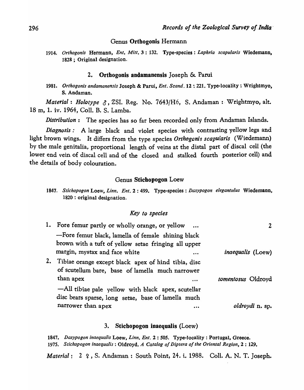#### Genus Orthogonis Hermann

*1914. Orthogonis* Hermann, *En!. Mitt.* 3 : 132. Type-species: *Laphria scapuiaris* Wiedemann, 1828 ; Original designation.

#### 2. Ortbogonis andamanensis Joseph & Parui

*1981. Orthogonis andamanensis* Joseph & Parui, *Ent. Scand.* 12 : 221. Type-locality: Wrightmyo, S. Andaman.

*Material: Holotype §*, ZSI. Reg. No. 7643/H6, S. Andaman: Wrightmyo, alt. 18 m, 1. iv. 1964, ColI. B. S. Lamba.

*Distribution:* The species has so far been recorded only from Andaman Islands.

*Diagnosis:* A large black and violet species with contrasting yellow legs and light brown wings. It differs from the type species Orthogonis scapularis (Wiedemann) by the male genitalia, proportional length of veins at the distal part of discal cell (the lower end vein of discal cell and of the closed and stalked fourth posterior cell) and the details of body colouration.

#### Genus Stichopogon Loew

|                              | 1847. Stichopogon Loew, Linn. Ent. 2: 499. Type-species: Dasypogon elegantulus Wiedemann, |  |
|------------------------------|-------------------------------------------------------------------------------------------|--|
| 1820 : original designation. |                                                                                           |  |

#### *Key to species*

| 1. Fore femur partly or wholly orange, or yellow                                                           |                          |
|------------------------------------------------------------------------------------------------------------|--------------------------|
| -Fore femur black, lamella of female shining black                                                         |                          |
| brown with a tuft of yellow setae fringing all upper                                                       |                          |
| margin, mystax and face white                                                                              | <i>inaequalis</i> (Loew) |
| 2. Tibiae orange except black apex of hind tibia, disc<br>of scutellum bare, base of lamella much narrower |                          |
| than apex<br>                                                                                              | tomentosus Oldroyd       |
| —All tibiae pale yellow with black apex, scutellar                                                         |                          |
| disc bears sparse, long setae, base of lamella much                                                        |                          |
| narrower than apex                                                                                         | <i>oldroydi</i> n. sp.   |

#### 3. Stichopogon inaequalis (Loew)

*1847. Dasypogon inaequa/is* Loew, *Linn. Ent.* 2 : *50S.* Type-locality: Portugal, Greece. *1975. Stichopogon inaequalis* : Oldroyd, *A Catalog of Diptera of the Oriental Region,* 2 : 129.

*Material*: 2  $\varphi$ , S. Andaman : South Point, 24. i. 1988. Coll. A. N. T. Joseph.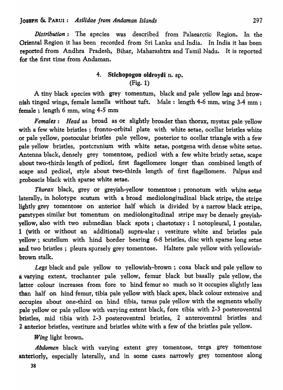*Distribution*: The species was described from Palaearctic Region. In the Oriental Region it has been recorded from Sri Lanka and India. In India it has been reported from Andhra Pradesh, Bihar, Maharashtra and Tamil Nadu. It is reported for the first time from Andaman.

# 4. Stichopogon oldroydi n. sp. (Fig. 1)

A tiny black species with grey tomentum, black and pale yellow legs and brownish tinged wings, female lamella without tuft. Male: length 4-6 mm, wing 3-4 mm ; female ; length 6 mm, wing 4-5 mm

*Females: Head* as broad as or slightly broader than thorax, mystax pale yellow with a few white bristles; fronto-orbital plate with white setae, ocellar bristles white or pale yellow, postocular bristles pale yellow, posterior to ocellar triangle with a few pale yellow bristles, postcranium with white setae, postgena with dense white setae. Antenna black, densely grey tomentose, pedicel with a few white bristly setae, scape about two-thirds length of pedicel, first flagellomere longer than combined length of scape and pedicel, style about two-thirds length of first flagellomere. Palpus and proboscis black with sparse white setae.

*Thorax* black, grey or greyish-yellow tomentose; pronotum with white setae laterally, in holotype scutum with a broad mediolongitudinal black stripe, the stripe lightly grey tomentose on anterior half which is divided by a narrow black stripe, paratypes similar but tomentum on mediolongitudinal stripe may be densely greyishyellow, also with two submedian black spots; chaetotaxy: 1 notopleural, 1 postalar, 1 (with or without an additional) supra-alar; vestiture white and bristles pale yellow; scutellum with hind border bearing 6-8 bristles, disc with sparse long setae and two bristles; pleura sparsely grey tomentose. Haltere pale yellow with yellowishbrown stalk.

*Legs* black and pale yellow to yellowish-brown; coxa black and pale yellow to a varying extent, trochanter pale yellow, femur black but basally pale yellow, the latter colour increases from fore to hind femur so much so it occupies slightly less than half on hind femur, tibia pale yellow with black apex, black colour extensive and occupies about one-third on hind tibia, tarsus pale yellow with the segments wholly pale yellow or pale yellow with varying extent black, fore tibia with 2-3 posteroventral bristles, mid tibia with 2-3 posteroventral bristles, 2 anteroventral bristles and 2 anterior bristles, vestiture and bristles white with a few of the bristles pale yellow.

*Wing* light brown.

Abdomen black with varying extent grey tomentose, terga grey tomentose anteriorly, especially laterally, and in some cases narrowly grey tomentose along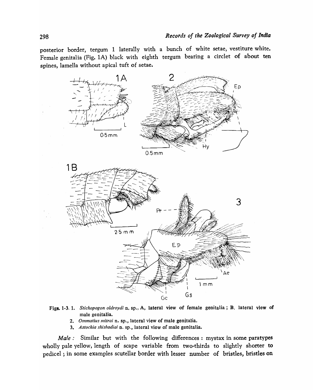posterior border, tergum 1 laterally with a bunch of white setae, vestiture white. Female genitalia (Fig. lA) black with eighth tergum bearing a circlet of about ten spines, lamella without apical tuft of setae.



- Figs. 1-3. 1. *Stichopogon oldroydi* n. sp., A, lateral view of female genitalia; B, lateral view of male genitalia.
	- *2. Ommatius mitrai* n. sp., lateral view of male genitalia.
	- *3. Astochia shishodiai* n. sp., lateral view of male genitalia.

*Male:* Similar but with the following differences: mystax in some paratypes wholly pale yellow, length of scape variable from two-thirds to slightly shorter to pedicel; in some examples scutellar border with lesser number of bristles, bristles on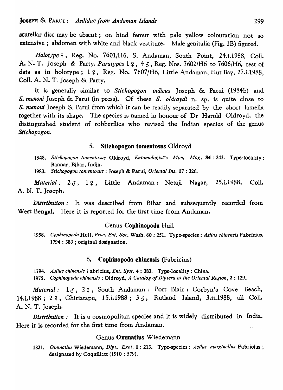scutellar disc may be absent; on hind femur with pale yellow colouration not so extensive; abdomen with white and black vestiture. Male genitalia (Fig. 1B) figured.

Holotype 2, Reg. No. 7601/H6, S. Andaman, South Point, 24.i.1988, Coll. A. N. T. Joseph & Party. *Paratypes*  $1 \n9$ ,  $4 \n9$ , Reg. Nos. 7602/H6 to 7606/H6, rest of data as in holotype;  $1 \, \text{Q}$ , Reg. No. 7607/H6, Little Andaman, Hut Bay, 27.i.1988, ColI. A. N. T. Joseph & Party.

It is generally similar to *Stichopogon indicus* Joseph & Parui (1984b) and *s. menoni* Joseph & Parui (in press). Of these S. *oldroydi* n. sp. is quite close to *S. menoni* Joseph & Parui from which it can be readily separated by the short lamella together with its shape. The species is named in honour of Dr Harold Oldroyd, the distinguished student of robberflies who revised the Indian species of the genus *Stichop*<sub>200</sub>.

# 5. Stichopogon tomentosus Oldroyd

*1948. Stichopogon tomentosus* Oldroyd, *Entomologist's Mon. Mag.* 84: 243. Type-locality: Bannar, Bihar, India.

*1983. Stichopogon tomentosus* : Joseph & Parui, *Oriental Ins.* 17 : 326.

Material: 23, 19, Little Andaman: Netaji Nagar, 25.i.1988, Coll. A. N. T. Joseph.

*Distribution:* It was described from Bihar and subsequently recorded from West Bengal. Here it is reported for the first time from Andaman.

#### Genus Cophinopoda Hull

*1958.. Cophinopoda* Hull, *Proc. Ent. Soc.* Wash. 60 : 251. Type-species: *Asilus chinensis* Fabricius, 1794 : 383 ; original designation.

### 6. Copbinopoda cbinensis (Fabricius)

*1194. Asilus chinensis* i- abricius, *Ent. Syst.* 4 : 383. Type-locality: China.

*1975. Cophinopoda ehinensis* : Oldroyd, *A Catalog Of Diptera oj the Oriental Region,* 2 : 129.

*Material:* 13, 22, South Andaman: Port Blair: Corbyn's Cove Beach, 14.i.1988; 2 ?, Chiriatapu, 15.i.1988; 3 &, Rutland Island, 3.ii.1988, all Coll. A. N. T. Joseph.

*Distribution:* It is a cosmopolitan species and it is widely distributed in India. Here it is recorded for the first time from Andaman.  $\ddot{\phantom{a}}$ 

# Genus Ommatius Wiedemann

*1821. Ommatius* Wiedemann, *Dipt. Exot.* 1 : 213. Type-species: *Asilus marginel/us* Fabricius; designated by Coquillett (1910 : 579).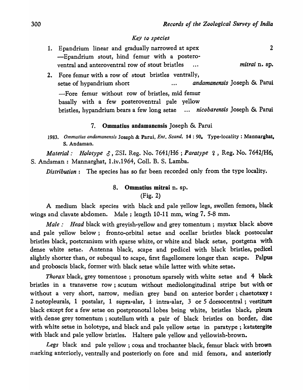#### *Key to species*

| 1. Epandrium linear and gradually narrowed at apex<br>-Epandrium stout, hind femur with a postero-                                                                          |               |  |  |
|-----------------------------------------------------------------------------------------------------------------------------------------------------------------------------|---------------|--|--|
| ventral and anteroventral row of stout bristles                                                                                                                             | mitrai n. sp. |  |  |
| 2. Fore femur with a row of stout bristles ventrally,<br>andamanensis Joseph & Parui<br>setae of hypandrium short                                                           |               |  |  |
| -Fore femur without row of bristles, mid femur<br>basally with a few posteroventral pale yellow<br>bristles, hypandrium bears a few long setae  nicobarensis Joseph & Parui |               |  |  |

### 7. Ommatius andamanensis Joseph & Parui

*1983. Ommatius andamanensis* Joseph & Parui, *En!. Scand.* 14: 90. Type-locality: Mannarghat, S. Andaman.

*Material: Holotype*  $\delta$ *, ZSI. Reg. No. 7641/H6; Paratype*  $\gamma$ *, Reg. No. 7642/H6,* S. Andaman : Mannarghat, 1.iv.1964, ColI. B. S. Lamba.

*Distribution:* The species has so far been recorded only from the type locality.

# 8. Ommatius mitrai n. sp.

(Fig. 2)

A medium black species with black and pale yellow legs, swollen femora, black wings and clavate abdomen. Male; length 10-11 mm, wing 7. 5-8 mm.

*Male: Head black with greyish-yellow and grey tomentum; mystax black above* and pale yellow below; fronto-orbital setae and ocellar bristles black postocular bristles black, postcranium with sparse white, or white and black setae, postgena with dense white setae. Antenna black, scape and pedicel with black bristles, pedicel slightly shorter than, or subequal to scape, first flagellomere longer than scape. Palpus and proboscis black, former with black setae while latter with white setae.

*Thorax* black, grey tomentose; pronotum sparsely with white setae and 4 black bristles in a transverse row; scutum without mediolongitudinal stripe but with or without a very short, narrow, median grey band on anterior border; chaetotaxy: 2 notopleurals, 1 postalar, 1 supra-alar, 1 intra-alar, 3 or 5 dorsocentral; vestiture black except for a few setae on postpronotal lobes being white, bristles black, pleura with dense grey tomentum; scutellum with a pair of black bristles on border, disc with white setae in holotype, and black and pale yellow setae in paratype; katatergite with black and pale yellow bristles. Haltere pale yellow and yellowish-brown.

*Legs* black and pale yellow ; coxa and trochanter black, femur black with brown marking anteriorly, ventrally and posteriorly on fore and mid femora, and anteriorly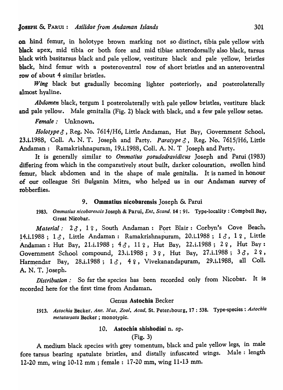on hind femur, in holotype brown marking not so distinct, tibia pale yellow with black apex, mid tibia or both fore and mid tibiae anterodorsally also black, tarsus black with basitarsus black and pale yellow, vestiture black and pale yellow, bristles black, hind femur with a posteroventral row of short bristles and an anteroventral row of about 4 similar bristles.

*Wing* black but gradually becoming lighter posteriorly, and posterolaterally almost hyaline.

*Abdomen* black, tergum 1 posterolaterally with pale yellow bristles, vestiture black and pale yellow. Male genitalia (Fig. 2) black with black, and a few pale yellow setae.

*Female:* Unknown.

*Holotype 3*, Reg. No. 7614/H6, Little Andaman, Hut Bay, Government School, 23.i.1988, Coll. A. N. T. Joseph and Party. *Paratype*  $\delta$ , Reg. No. 7615/H6, Little Andaman: Ramakrishnapuram, 19.i.1988, ColI. A. N. T Joseph and Party.

It is generally similar to *Ommatius pseudodravidicus* Joseph and Parui (1983) differing from which in the comparatively stout built, darker colouration, swollen hind femur, black abdomen and in the shape of male genitalia. It is named in honour of our colleague Sri Bulganin Mitra, who helped us in our Andaman survey of robberflies.

# 9. Ommatius nicobarensis Joseph & Parui

1983. *Ommatius nicobarensis* Joseph & Parui, *Ent. Scand.* **14** : 91. Type-locality: Compbell Bay, Great Nicobar.

*Material:* 23, 19, South Andaman: Port Blair: Corbyn's Cove Beach,  $14.1.1988$ ;  $1\delta$ , Little Andaman: Ramakrishnapuram, 20.i.1988;  $1\delta$ , 1  $\epsilon$ , Little Andaman: Hut Bay, 21.i.1988;  $4 \delta$ , 11  $\epsilon$ , Hut Bay, 22.i.1988; 2 $\epsilon$ , Hut Bay: Government School compound, 23.i.1988; 3  $\varphi$ , Hut Bay, 27.i.1988; 3  $\delta$ , 2  $\varphi$ , Harmendar Bay, 28.i.1988;  $1 \delta$ , 42, Vivekanandapuram, 29.i.1988, all Coll. A. N. T. Joseph.

*Distribution:* So far the species has been recorded only from Nicobar. It is recorded here for the first time from Andaman.

# Genus Astochia Becker

1913. Astochia Becker, Ann. Mus. Zool. Acad. St. Petersbourg, 17: 538. Type-species: Astochia *metatarsata* Becker; monotypic.

# 10. Astochia shishodiai n. sp.

# (Fig. 3)

A medium black species with grey tomentum, black and pale yellow legs, in male fore tarsus bearing spatulate bristles, and distally infuscated wings. Male: length 12-20 mm, wing 10-12 mm; female: 17-20 mm, wing 11-13 mm.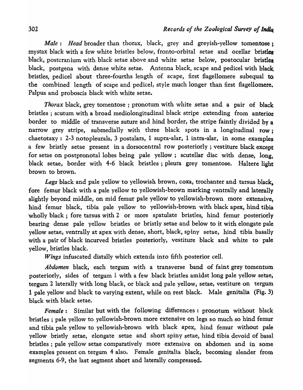*Male*: *Head* broader than thorax, black, grey and greyish-yellow tomentose; mystax black with a few white bristles below, fronto-orbital setae and ocellar bristlea black, postcranium with black setae above and white setae below, postocular bristles black, postgena with dense white setae. Antenna black, scape and pedicel with black bristles, pedicel about three-fourths length of scape, first flagellomere subequal to the combined length of scape and pedicel, style much longer than first flagellomere. Palpus and proboscis black with white setae.

*Thorax* black, grey tomentose ; pronotum with white setae and a pair of black bristles ; scutum with a broad mediolongitudinal black stripe extending from anterior border to middle of transverse suture and hind border, the stripe faintly divided by a narrow grey stripe, submedially with three black spots in a longitudinal row: chaetotaxy: 2-3 notopleurals, 3 postalars, 1 supra-alar, 1 intra-alar, in some examples a few bristly setae present in a dorsocentral row posteriorly; vestiture black except for setae on postpronotal lobes being pale yellow; scutellar disc with dense, long, black setae, border with 4-6 black bristles; pleura grey tomentose. Haltere light brown to brown.

*Legs* black and pale yellow to yellowish brown, coxa, trochanter and tarsus black, fore femur black with a pale yellow to yellowish-brown marking ventrally and laterally slightly beyond middle, on mid femur pale yellow to yellowish-brown more extensive, hind femur black, tibia pale yellow to yellowish-brown with black apex, hind tibia wholly black; fore tarsus with 2 or more spatulate bristles, hind femur posteriorly bearing dense pale yellow bristles or bristly setae and below to it with elongate pale yellow setae, ventrally at apex with dense, short, black, spiny setae, hind tibia basally with a pair of black incurved bristles posteriorly, vestiture black and white to pale yellow, bristles black.

*Wings* infuscated distally which extends into fifth posterior cell.

*Abdomen* black, each tergum with a transverse band of faint grey tomentum posteriorly, sides of tergum  $1$  with a few black bristles amidst long pale yellow setae, tergum 2 laterally with long black, or black and pale yellow, setae, vestiture on tergum 1 pale yellow and black to varying extent, while on rest black. Male genitalia (Fig. 3) black with black setae.

*Female:* Similar but with the following differences: pronotum without black bristles; pale yellow to yellowish-brown more extensive on legs so much so hind femur and tibia pale yellow to yellowish-brown with black apex, hind femur without pale yellow bristly setae, elongate setae and short spiny setae, hind tibia devoid of basal bristles; pale yellow setae comparatively more extensive on abdomen and in some examples present on tergum 4 also. Female genitalia black, becoming slender from segments 6-9, the last segment short and laterally compressed.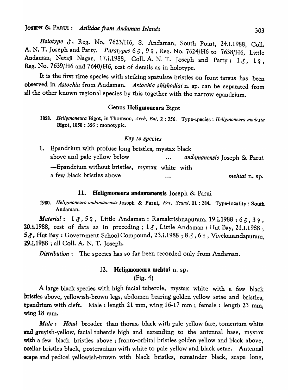*Holotype* 0, Reg. No. 7623/H6, S. Andaman, South Point, 24.i.1988, CoIl. A. N. T. Joseph and Party. *Paratypes*  $63, 99$ , Reg. No. 7624/H6 to 7638/H6, Little Andaman, Netaji Nagar, 17.i.1988, Coll. A. N. T. Joseph and Party; 13, 12, Reg. No. 7639/H6 and *7640/H6,* rest of details as in holotype.

It is the first time species with striking spatulate bristles on front tarsus has been observed in *Astochia* from Andaman. *Astochia shishodiai* n. sp. can be separated from all the other known regional species by this together with the narrow epandrium.

#### Genus Heligmoneura Bigot

#### *Key to species*

| 1. Epandrium with profuse long bristles, mystax black |  |          |                             |
|-------------------------------------------------------|--|----------|-----------------------------|
| above and pale yellow below                           |  | $\cdots$ | andamanensis Joseph & Parui |
| -Epandrium without bristles, mystax white with        |  |          |                             |
| a few black bristles above                            |  | $\cdots$ | mehtai n. sp.               |

# 11. Heligmoneura andamanensis Joseph & Parui

1980. *Heligmoneura andamanensis* Joseph & Parui, *Ent. Scand.* 11 : 284. Type-locality: South Andaman.

*Material*: 13,52, Little Andaman: Ramakrishnapuram, 19.i.1988;63,32, 20.i.1988, rest of data as in preceding;  $1 \delta$ , Little Andaman: Hut Bay, 21.i.1988;  $5\delta$ , Hut Bay: Government School Compound, 23.i.1988; 8 $\delta$ , 6 $\gamma$ , Vivekanandapuram, 29.i.1988 ; all ColI. A. N. T. Joseph.

*Distribution:* The species has so far been recorded only from Andaman.

# 12. Heligmoneura mehtai n. sp.

(Fig. 4)

A large black species with high facial tubercle, mystax white with a few black bristles above, yellowish-brown legs, abdomen bearing golden yellow setae and bristles, epandrium with cleft. Male: length 21 mm, wing  $16-17$  mm; female: length 23 mm, wing 18 mm.

*Male: Head* broader than thorax, black with pale yellow face, tomentum white and greyish-yellow, facial tubercle high and extending to the antennal base, mystax with a few black bristles above; fronto-orbital bristles golden yellow and black above, 'ocellar bristles black, postcranium with white to pale yellow and black setae. Antenna! scape and pedicel yellowish-brown with black bristles, remainder black, scape long,

<sup>1858.</sup> Heligmoneura Bigot, in Thomson, Arch. Ent. 2: 356. Type-species: *Heligmoneura modesta* Bigot, 1858 : 356 ; monotypic.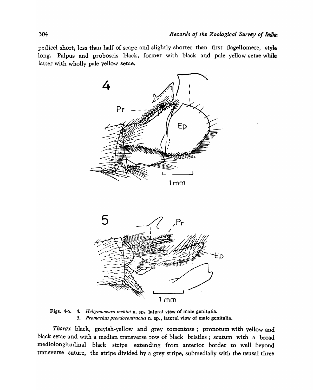pedicel short, less than half of scape and slightly shorter than first flagellomere, style long. Palpus and proboscis black, former with black and pale yellow setae while latter with wholly pale yellow setae.





Figs. 4-5. 4. *Heligmoneura mehtai* n. sp., lateral view of male genitalia. *5. Promachus pseudo contractus* n. sp., lateral view of male genitalia.

*Thorax* black, greyish-yellow and grey tomentose; pronotum with yellow and black setae and with a median transverse row of black bristles; scutum with a broad mediolongitudinal black stripe extending from anterior border to well beyond transverse suture, the stripe divided by a grey stripe, submedially with the ususaI three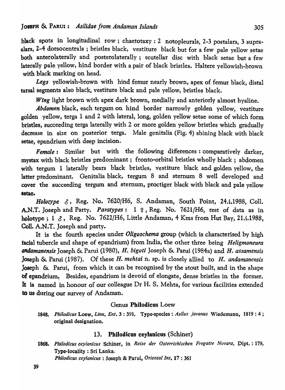black spots in longitudinal row; chaetotaxy: 2 notopleurals, 2-3 postalars, 3 supraalars, 2-4 dorsocentrals ; bristles black, vestiture black but for a few pale yellow setae both anterolaterally and posterolaterally; scutellar disc with black setae but a few laterally pale yellow, hind border with a pair of black bristles. Haltere yellowish-brown with black marking on head.

*Legs* yellowish-brown with hind femur nearly brown, apex of femur black, distal tarsal segments also black, vestiture black and pale yellow, bristles black.

*Wing* light brown with apex dark brown, medially and anteriorly almost hyaline.

*Abdomen* black, each tergum on hind border narrowly golden yellow, vestiture golden yellow, terga 1 and 2 with lateral, long, golden yellow setae some of which form bristles, succeeding terga laterally with 2 or more golden yellow bristles which gradually decrease in size on posterior terga. Male genitalia (Fig. 4) shining black with black setae, epandrium with deep incision.

*Female*: Similar but with the following differences: comparatively darker, mystax with black bristles predominant; fronto-orbital bristles wholly black; abdomen with tergum 1 laterally bears black bristles, vestiture black and golden yellow, the latter predominant. Genitalia black, tergum 8 and sternum 8 well developed and cover the succeeding tergum and sternum, proctiger black with black and pale yellow 8etae.

*Holotype*   $\delta$ , Reg. No. 7620/H6, S. Andaman, South Point, 24.i.1988, Coll. A.N.T. Joseph and Party. *Paratypes*: 1  $\varphi$ , Reg. No. 7621/H6, rest of data as in holotype;  $1 \delta$ , Reg. No. 7622/H6, Little Andaman, 4 Kms from Hut Bay, 21.i.1988, CoIl. A.N.T. Joseph and party.

It is the fourth species under *Oligoschema* group (which is characterised by high facial tubercle and shape of epandrium) from India, the other three being *Heligmoneura andamanensis* Joseph & Parui (1980), H. *bigoti* Joseph & Parui (1984a) and H. *assamensis*  Joseph & Parui (1987). Of these H. *mehtai* n. sp. is closely allied to *H. andamanensis*  Joseph & Parui, from which it can be recognised by the stout built, and in the shape of epandrium. Besides, epandrium is devoid of elongate, dense bristles in the former. It is named in honour of our colleague Dr H. S. Mehta, for various facilities extended to us during our survey of Andaman.

## Genus Philodicus Loew

*1848. Phi/adieus* Loew, *Linn. Ent.* 3 : 391. Type-species: *Asilus javanus* Wiedemann, 1819: 4 ; original designation.

### 13. Philodicus ceylanicus (Schiner)

*1868. Phi/odieus ceylanieus* Schiner, in *Reise der Osterriehisehen Fregatle Novara,* Dipt.: 179, Type-locality: Sri Lanka. *Phi/odieus eey/anieus* : Joseph & Parui, *Oriental Ins,* 17 : 361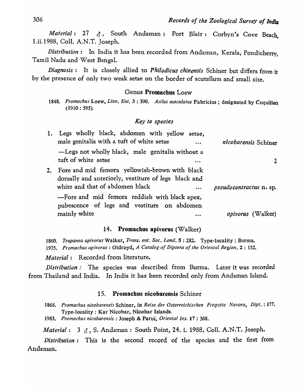*Material: 27 &,* South Andaman: Port Blair: Corbyn's Cove Beach. 1.ii.1988, ColI. A.N .T. Joseph.

*Distribution:* In India it has been recorded from Andaman, Kerala, Pondicherry, Tamil Nadu and West Bengal.

*Diagnosis:* It is closely allied to *Phi/odicus chinensis* Schiner but differs from it by the presence of only two weak setae on the border of scutellum and small size.

# Genus Promachus Loew

#### *Key to species*

|    | 1. Legs wholly black, abdomen with yellow setae,<br>male genitalia with a tuft of white setae<br>$\ddotsc$                                            | nicobarensis Schiner     |
|----|-------------------------------------------------------------------------------------------------------------------------------------------------------|--------------------------|
|    | -Legs not wholly black, male genitalia without a<br>tuft of white setae                                                                               |                          |
| 2. | Fore and mid femora yellowish-brown with black<br>dorsally and anteriorly, vestiture of legs black and<br>white and that of abdomen black<br>$\cdots$ | pseudocontractus n. sp.  |
|    | -Fore and mid femora reddish with black apex,<br>pubescence of legs and vestiture on abdomen                                                          |                          |
|    | mainly white<br>                                                                                                                                      | <i>apivorus</i> (Walker) |

## 14. Promachus apivorus (Walker)

*1860. Trupanea apivorus* Walker, *Trans. ent. Soc. Lond.* 5 : 282. Type-locality: Burma. *1975. Promachus apivorus* : Oldroyd, *A Catalog of Diptera of the Oriental Region,* 2 : 152.

*Material:* Recorded from literature.

*Distribution:* The species was described from Burma. Later it was recorded from Thailand and India. In India it has been recorded only from Andaman Island.

## 15. Promachus nicobarensis Schiner

1868. Promachus nicobarensis Schiner, in *Reise der Osterreichischen Fregatte Novara, Dipt.*: 177. Type-locality: Kar Nicobar, Nicobar Islands.

*1983. Promachus nlcobarensis* : Joseph & Parui, *Oriental Ins.* 17 : 368.

*Material:* 3  $\delta$ , S. Andaman: South Point, 24. i. 1988, Coll. A.N.T. Joseph.

*Distribution:* This is the second record of the species and the first from Andaman.

<sup>1848.</sup> Promachus Loew, Linn. Ent. 3:390. Asilus maculatus Fabricius; designated by Coquillett (1910 : 595).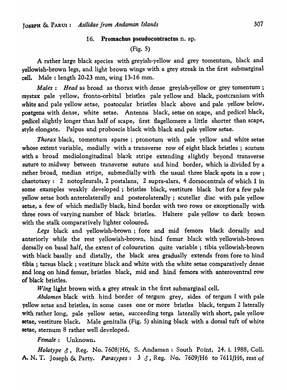#### 16. Promachus pseudocontractus n. sp.

# (Fig. 5)

A rather large black species with greyish-yellow and grey tomentum, black and yellowish-brown legs, and light brown wings with a grey streak in the first submarginal cell. Male: length  $20-23$  mm, wing  $13-16$  mm.

*Males: Head* as broad as thorax with dense greyish-yellow or grey tomentum; mystax pale yellow, fronto-orbital bristles pale yellow and black, postcranium with white and pale yellow setae, postocular bristles black above and pale yellow below, postgena with dense, white setae. Antenna black, setae on scape, and pedicel black, pedicel slightly longer than half of scape, first flagellomere a little shorter than scape, style elongate. Palpus and proboscis black with black and pale yellow setae.

*Thorax* black, tomentum sparse ; pronotum with pale yellow and white setae whose extent variable, medially with a transverse row of eight black bristles; scutum with a broad mediolongitudinal blaok stripe extending slightly beyond transverse suture to midway between transverse suture and hind border, which is divided by a rather broad, median stripe, submedially with the usual three black spots in a row; chaetotaxy: 2 notopleurals, 2 postalans, 2 supra-alars, 4 dorsocentrals of which 1 in some examples weakly developed; bristles black, vestiture black but for a few pale yellow setae both anterolaterally and posterolaterally; scutellar disc with pale yellow setae, a few of which medially black, hind bordet with two rows or exceptionally with three rows of varying number of black bristles. Haltere pale yellow to dark brown with the stalk comparatively lighter coloured.

*Legs* black and yellowish-brown; fore and mid femora black dorsally and anteriorly while the rest yellowish-brown, hind femur black with yellowish-brown dorsally on basal ha1f, the extent of colouration quite variable; tibia yellowish-brown with black basally and distally, the black area gradually extends from fore to hind tibia; tarsus black; vestiture black and white with the white setae comparatively dense and long on hind femur, bristles black, mid and hind femora with anteroventral row of black bristles.

Wing light brown with a grey streak in the first submarginal cell.

*Abdomen* black with hind border of tergum grey, sides of tergum 1 with pale yellow setae and bristles, in some cases one or more bristles black, tergum 2 laterally with rather long, pale yellow setae, succeeding terga laterally with short, pale yellow setae, vestiture black. Male genitalia (Fig. 5) shining black with a dorsal tuft of white setae, sternum 8 rather well developed.

*Female:* Unknown.

*Holotype 3*, Reg. No. 7608/H6, S. Andaman : South Point, 24. i. 1988, Coll. A. N. T. Joseph & Party. *Paratypes*:  $3 \delta$ , Reg. No. 7609/H6 to 7611/H6, rest of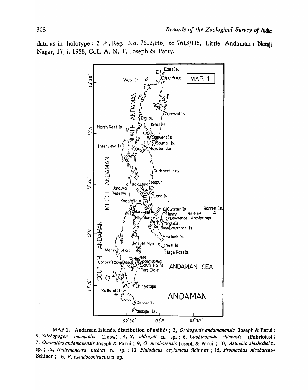data as in holotype; 2  $\delta$ , Reg. No. 7612/H6, to 7613/H6, Little Andaman: Netaji Nagar, 17, i. 1988, Coll. A. N. T. Joseph & Party.



MAP 1. Andaman Islands, distribution of asiIids; 2, *Orthogonis andamanensis* Joseph & Parui ; *3, Stiehopogon inaequalis* (Loew); 4, S. *oldroydi* n. sp.; 6, *Cophinopoda ehinensis* (Fabricius) ; *7, Ommatills andamanensis* Joseph & Parui ; 9, *O. nieobarensis* Joseph & Parui ; 10, *Astochia shishcdiai* n. sp.; 12, *Heligmoneura mehtai* n. sp.; 13, *Phi/odieus ceylanicus* Schiner ; 15, *Promaehus nicobarensis*  Schiner ; 16, *P. pseudoeontractus* n. sp.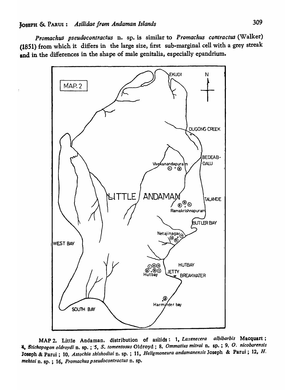*Promachus pseudocontractus* n. sp. is similar to *Promachus contractus* (Walker) (1851) from which it differs in the large size, first sub-marginal cell with a grey streak and in the differences in the shape of male genitalia, especially epandrium.



MAP 2. Little Andaman, distribution of asilids: 1, *Laxenecera albibarbis* Macquart; \_. *Stichopogon oldroydi* D. sp.·; *'5, S. tomentosus* Oldroyd; 8, *Omma/ius milra;* n. sp.; 9, O. *nicobarensis*  'Joseph &'Parui; 10, *Astochia shishodiai* n. sp. ; 11, *Heligmoneura andamanensis* Joseph & Parui; 12, *H. mehtai* D. sp. ; 16, *Promachus pseudocontractus* n. sp.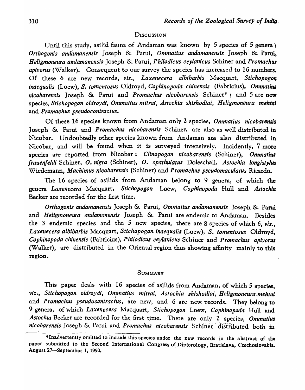### **DISCUSSION**

Until this study, asilid fauna of Andaman was known by 5 species of 5 genera: *Orthogonis andamanensis* Joseph & Parui, *Ommatius andamanensis* Joseph & Patui, *Heligmoneura andamanensis* Joseph & Parui, *Philodicus ceylanicus* Schiner and *Promachus apivorus* (Walker). Consequent to our survey the species has increased to 16 numbers. Of these 6 are new records, *viz., Laxenecera albibarbis* Macquart.. *Stichopogon inaequalis* (Loew), *S. tomentosus* Oldroyd, *Cophinopoda chinensis* (Fabricius), *Ommatius nicobarensis* Joseph & Parui and *Promachus nicobarensis* Schiner\*; and 5 are new species, *Stichopogon oldroydi, Ommatius mitrai) Astochia shishodiai, Heligmoneura mehtal*  and *Promachus pseudocontractus.* 

Of these 16 species known from Andaman only 2 species, *Ommatius nicobarensis*  Joseph & Parui and *Promachus nicobarensis* Schiner, are also as well distributed in Nicobar. Undoubtedly other species known from Andaman are also distributed in Nicobar, and will be found when it is surveyed intensively. Incidently, 7 more species are reported from Nicobar: *Clinopogon nicobarensis* (Schiner), *Ommatiua frauenfeldi* Schiner, *o. nigra* (Schiner), *O. spathulatus* Doleschall, *Astochia longistylus*  Wiedemann, *Machimus nicobarensis* (Schiner) and *Promachus pseudomaculatus* Ricardo.

The 16 species of asilids from Andaman belong to 9 genera, of which the genera *Laxenecera* Macquart, *Stichopogon* Loew, *Cophinopoda* Hull and *Astochla*  Becker are recorded for the first time.

*Orthogonis andamanensis* Joseph & Parui, *Ommatius andamanensis* Joseph & Patui and *Heligmoneura andamanensis* Joseph & Patui are endemic to Andaman. Besides the 3 endemic species and the 5 new species, there are 8 species of which 6, *viz.,*  Laxenecera albibarbis Macquart, Stichopogon *inaequalis* (Loew), S. tomentosus Oldroyd. *Cophinopoda chinensis* (Fabricius)1 *Phi/odieus eeylanicus* Schiner and *Promaehus apivorus*  (Walker), are distributed in the Oriental region thus showing affinity mainly to this region.

#### **SUMMARY**

This paper deals with 16 species of asilids from Andaman, of which 5 species, viz., Stichopogon oldroydi, Ommatius mitrai, Astochia shishodiai, Heligmoneura-mehtai and *Promachus pseudocontractus*, are new, and 6 are new records. They belong to 9 genera, of which *Laxenecera* Macquart, *Stichopogon* Loew, *Cophinopoda* Hull and Astochia Becker are recorded for the first time. There are only 2 species, Ommatius *nicobarensis* Joseph & Parui and *Promachus nicobarensis* Schiner distributed both in

<sup>·</sup>Inadvertently omitted to include this species under the new records in the abstract of the paper submitted to the Second International Congress of Dipterology, Bratislava, Czechoslovakia, August 27-September 1, 1990.